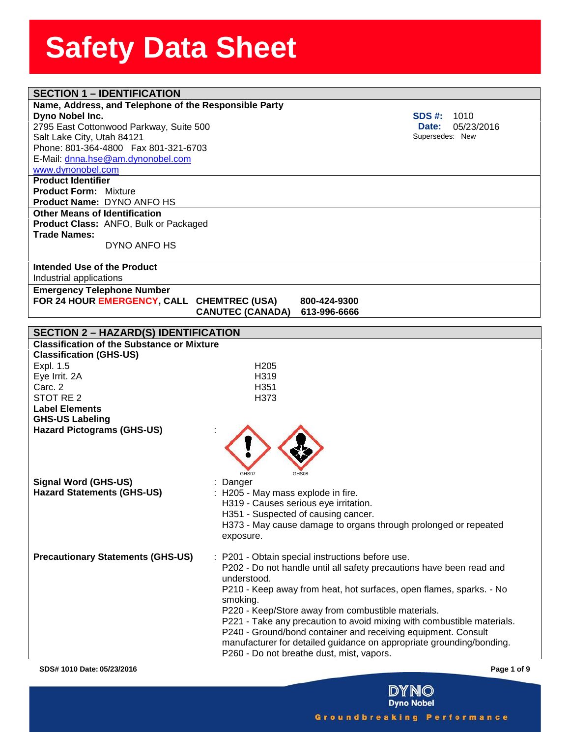| <b>SECTION 1 - IDENTIFICATION</b>                     |                                       |                                                                      |                                                                        |
|-------------------------------------------------------|---------------------------------------|----------------------------------------------------------------------|------------------------------------------------------------------------|
| Name, Address, and Telephone of the Responsible Party |                                       |                                                                      |                                                                        |
| Dyno Nobel Inc.                                       |                                       |                                                                      | SDS #:<br>1010                                                         |
| 2795 East Cottonwood Parkway, Suite 500               |                                       |                                                                      | 05/23/2016<br>Date:                                                    |
| Salt Lake City, Utah 84121                            |                                       |                                                                      | Supersedes: New                                                        |
| Phone: 801-364-4800  Fax 801-321-6703                 |                                       |                                                                      |                                                                        |
| E-Mail: dnna.hse@am.dynonobel.com                     |                                       |                                                                      |                                                                        |
| www.dynonobel.com                                     |                                       |                                                                      |                                                                        |
| <b>Product Identifier</b>                             |                                       |                                                                      |                                                                        |
| <b>Product Form: Mixture</b>                          |                                       |                                                                      |                                                                        |
| <b>Product Name: DYNO ANFO HS</b>                     |                                       |                                                                      |                                                                        |
| <b>Other Means of Identification</b>                  |                                       |                                                                      |                                                                        |
| Product Class: ANFO, Bulk or Packaged                 |                                       |                                                                      |                                                                        |
| <b>Trade Names:</b>                                   |                                       |                                                                      |                                                                        |
| DYNO ANFO HS                                          |                                       |                                                                      |                                                                        |
|                                                       |                                       |                                                                      |                                                                        |
| Intended Use of the Product                           |                                       |                                                                      |                                                                        |
| Industrial applications                               |                                       |                                                                      |                                                                        |
| <b>Emergency Telephone Number</b>                     |                                       |                                                                      |                                                                        |
| FOR 24 HOUR EMERGENCY, CALL CHEMTREC (USA)            |                                       | 800-424-9300                                                         |                                                                        |
|                                                       | <b>CANUTEC (CANADA)</b>               | 613-996-6666                                                         |                                                                        |
|                                                       |                                       |                                                                      |                                                                        |
| <b>SECTION 2 - HAZARD(S) IDENTIFICATION</b>           |                                       |                                                                      |                                                                        |
| <b>Classification of the Substance or Mixture</b>     |                                       |                                                                      |                                                                        |
| <b>Classification (GHS-US)</b>                        |                                       |                                                                      |                                                                        |
| Expl. 1.5                                             | H <sub>205</sub>                      |                                                                      |                                                                        |
| Eye Irrit. 2A                                         | H319                                  |                                                                      |                                                                        |
| Carc. 2                                               | H351                                  |                                                                      |                                                                        |
| STOT RE 2                                             | H373                                  |                                                                      |                                                                        |
| <b>Label Elements</b>                                 |                                       |                                                                      |                                                                        |
| <b>GHS-US Labeling</b>                                |                                       |                                                                      |                                                                        |
| <b>Hazard Pictograms (GHS-US)</b>                     |                                       |                                                                      |                                                                        |
|                                                       |                                       |                                                                      |                                                                        |
|                                                       |                                       |                                                                      |                                                                        |
|                                                       |                                       |                                                                      |                                                                        |
|                                                       | GHS07                                 |                                                                      |                                                                        |
| <b>Signal Word (GHS-US)</b>                           | : Danger                              |                                                                      |                                                                        |
| <b>Hazard Statements (GHS-US)</b>                     | : H205 - May mass explode in fire.    |                                                                      |                                                                        |
|                                                       | H319 - Causes serious eye irritation. |                                                                      |                                                                        |
|                                                       | H351 - Suspected of causing cancer.   |                                                                      |                                                                        |
|                                                       |                                       | H373 - May cause damage to organs through prolonged or repeated      |                                                                        |
|                                                       | exposure.                             |                                                                      |                                                                        |
|                                                       |                                       |                                                                      |                                                                        |
| <b>Precautionary Statements (GHS-US)</b>              |                                       | : P201 - Obtain special instructions before use.                     |                                                                        |
|                                                       |                                       | P202 - Do not handle until all safety precautions have been read and |                                                                        |
|                                                       | understood.                           |                                                                      |                                                                        |
|                                                       |                                       |                                                                      | P210 - Keep away from heat, hot surfaces, open flames, sparks. - No    |
|                                                       | smoking.                              |                                                                      |                                                                        |
|                                                       |                                       | P220 - Keep/Store away from combustible materials.                   |                                                                        |
|                                                       |                                       |                                                                      | P221 - Take any precaution to avoid mixing with combustible materials. |
|                                                       |                                       | P240 - Ground/bond container and receiving equipment. Consult        |                                                                        |
|                                                       |                                       |                                                                      | manufacturer for detailed guidance on appropriate grounding/bonding.   |
|                                                       |                                       | P260 - Do not breathe dust, mist, vapors.                            |                                                                        |
|                                                       |                                       |                                                                      |                                                                        |
| SDS# 1010 Date: 05/23/2016                            |                                       |                                                                      | Page 1 of 9                                                            |

**Dyno Nobel** Groundbreaking Performance

**DYNO**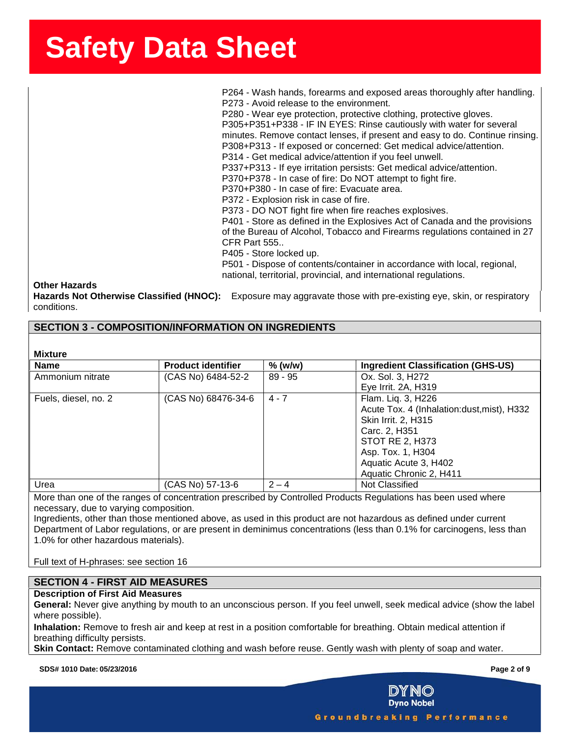**state of the state of the SSS**<br>P264 - Wash hands, forearms and exposed areas thoroughly after handling. | ees<br>P2<br>P3 P273 - Avoid release to the environment. P280 - Wear eye protection, protective clothing, protective gloves. P305+P351+P338 - IF IN EYES: Rinse cautiously with water for several minutes. Remove contact lenses, if present and easy to do. Continue rinsing. P308+P313 - If exposed or concerned: Get medical advice/attention. P314 - Get medical advice/attention if you feel unwell. P337+P313 - If eye irritation persists: Get medical advice/attention. P370+P378 - In case of fire: Do NOT attempt to fight fire. P370+P380 - In case of fire: Evacuate area. P372 - Explosion risk in case of fire. P373 - DO NOT fight fire when fire reaches explosives. P401 - Store as defined in the Explosives Act of Canada and the provisions of the Bureau of Alcohol, Tobacco and Firearms regulations contained in 27 CFR Part 555.. P405 - Store locked up. P501 - Dispose of contents/container in accordance with local, regional, national, territorial, provincial, and international regulations.

**Other Hazards**

**Hazards Not Otherwise Classified (HNOC):** Exposure may aggravate those with pre-existing eye, skin, or respiratory conditions.

## **SECTION 3 - COMPOSITION/INFORMATION ON INGREDIENTS**

| <b>Mixture</b>       |                           |           |                                            |
|----------------------|---------------------------|-----------|--------------------------------------------|
| <b>Name</b>          | <b>Product identifier</b> | % (w/w)   | <b>Ingredient Classification (GHS-US)</b>  |
| Ammonium nitrate     | (CAS No) 6484-52-2        | $89 - 95$ | Ox. Sol. 3, H272                           |
|                      |                           |           | Eye Irrit. 2A, H319                        |
| Fuels, diesel, no. 2 | (CAS No) 68476-34-6       | $4 - 7$   | Flam. Lig. 3, H226                         |
|                      |                           |           | Acute Tox. 4 (Inhalation:dust, mist), H332 |
|                      |                           |           | Skin Irrit. 2, H315                        |
|                      |                           |           | Carc. 2, H351                              |
|                      |                           |           | STOT RE 2, H373                            |
|                      |                           |           | Asp. Tox. 1, H304                          |
|                      |                           |           | Aquatic Acute 3, H402                      |
|                      |                           |           | Aquatic Chronic 2, H411                    |
| Urea                 | (CAS No) 57-13-6          | $2 - 4$   | Not Classified                             |

More than one of the ranges of concentration prescribed by Controlled Products Regulations has been used where necessary, due to varying composition.

Ingredients, other than those mentioned above, as used in this product are not hazardous as defined under current Department of Labor regulations, or are present in deminimus concentrations (less than 0.1% for carcinogens, less than 1.0% for other hazardous materials).

Full text of H-phrases: see section 16

### **SECTION 4 - FIRST AID MEASURES**

### **Description of First Aid Measures**

**General:** Never give anything by mouth to an unconscious person. If you feel unwell, seek medical advice (show the label where possible).

**Inhalation:** Remove to fresh air and keep at rest in a position comfortable for breathing. Obtain medical attention if breathing difficulty persists.

**Skin Contact:** Remove contaminated clothing and wash before reuse. Gently wash with plenty of soap and water.

**SDS# 1010 Date: 05/23/2016 Page 2 of 9**

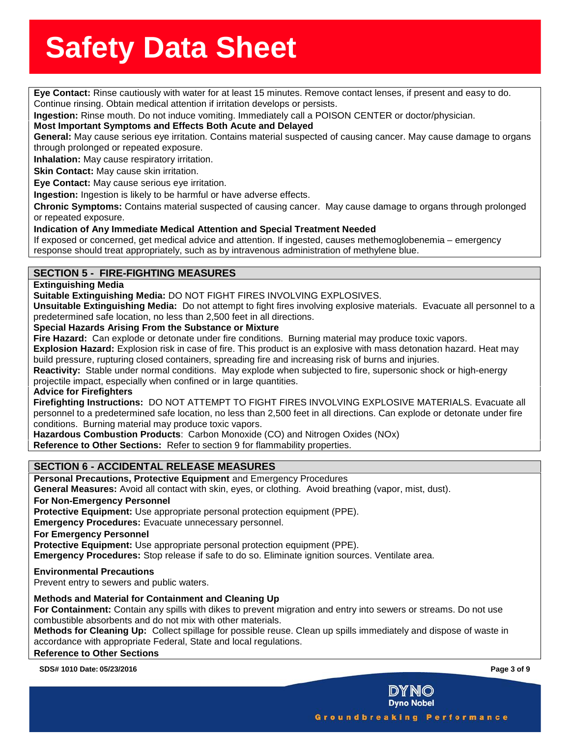**Eye Contact:** Rinse cautiously with water for at least 15 minutes. Remove contact lenses, if present and easy to do. Continue rinsing. Obtain medical attention if irritation develops or persists.

**Ingestion:** Rinse mouth. Do not induce vomiting. Immediately call a POISON CENTER or doctor/physician.<br>**Most Important Symptoms and Effects Both Acute and Delayed** 

**Most Important Symptoms and Effects Both Acute and Delayed**

**General:** May cause serious eye irritation. Contains material suspected of causing cancer. May cause damage to organs through prolonged or repeated exposure.

**Inhalation:** May cause respiratory irritation.

**Skin Contact:** May cause skin irritation.

**Eye Contact:** May cause serious eye irritation.

**Ingestion:** Ingestion is likely to be harmful or have adverse effects.

**Chronic Symptoms:** Contains material suspected of causing cancer. May cause damage to organs through prolonged or repeated exposure.

### **Indication of Any Immediate Medical Attention and Special Treatment Needed**

If exposed or concerned, get medical advice and attention. If ingested, causes methemoglobenemia – emergency response should treat appropriately, such as by intravenous administration of methylene blue.

## **SECTION 5 - FIRE-FIGHTING MEASURES**

### **Extinguishing Media**

**Suitable Extinguishing Media:** DO NOT FIGHT FIRES INVOLVING EXPLOSIVES.

**Unsuitable Extinguishing Media:** Do not attempt to fight fires involving explosive materials. Evacuate all personnel to a predetermined safe location, no less than 2,500 feet in all directions.

### **Special Hazards Arising From the Substance or Mixture**

**Fire Hazard:** Can explode or detonate under fire conditions. Burning material may produce toxic vapors.

**Explosion Hazard:** Explosion risk in case of fire. This product is an explosive with mass detonation hazard. Heat may build pressure, rupturing closed containers, spreading fire and increasing risk of burns and injuries.

**Reactivity:** Stable under normal conditions. May explode when subjected to fire, supersonic shock or high-energy projectile impact, especially when confined or in large quantities.

### **Advice for Firefighters**

**Firefighting Instructions:** DO NOT ATTEMPT TO FIGHT FIRES INVOLVING EXPLOSIVE MATERIALS. Evacuate all personnel to a predetermined safe location, no less than 2,500 feet in all directions. Can explode or detonate under fire conditions. Burning material may produce toxic vapors.

**Hazardous Combustion Products**: Carbon Monoxide (CO) and Nitrogen Oxides (NOx) **Reference to Other Sections:** Refer to section 9 for flammability properties.

### **SECTION 6 - ACCIDENTAL RELEASE MEASURES**

**Personal Precautions, Protective Equipment** and Emergency Procedures

**General Measures:** Avoid all contact with skin, eyes, or clothing. Avoid breathing (vapor, mist, dust).

### **For Non-Emergency Personnel**

**Protective Equipment:** Use appropriate personal protection equipment (PPE).

**Emergency Procedures:** Evacuate unnecessary personnel.

**For Emergency Personnel**

**Protective Equipment:** Use appropriate personal protection equipment (PPE).

**Emergency Procedures:** Stop release if safe to do so. Eliminate ignition sources. Ventilate area.

### **Environmental Precautions**

Prevent entry to sewers and public waters.

### **Methods and Material for Containment and Cleaning Up**

**For Containment:** Contain any spills with dikes to prevent migration and entry into sewers or streams. Do not use combustible absorbents and do not mix with other materials.

**Methods for Cleaning Up:** Collect spillage for possible reuse. Clean up spills immediately and dispose of waste in accordance with appropriate Federal, State and local regulations.

### **Reference to Other Sections**

**SDS# 1010 Date: 05/23/2016 Page 3 of 9**

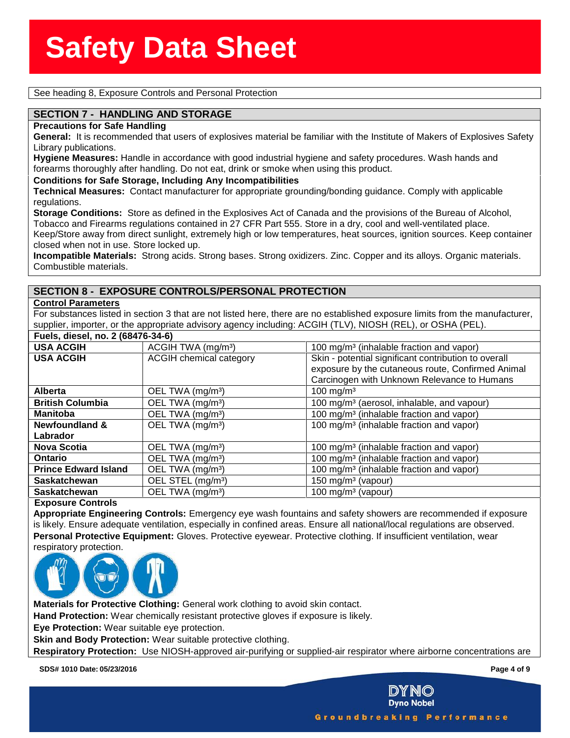**See heading 8, Exposure Controls and Personal Protection**<br>
See heading 8, Exposure Controls and Personal Protection

## **EXECTION 7 - HANDLING AND STORAGE<br>Precautions for Safe Handling**

**Precautions for Safe Handling**

**General:** It is recommended that users of explosives material be familiar with the Institute of Makers of Explosives Safety Library publications.

**Hygiene Measures:** Handle in accordance with good industrial hygiene and safety procedures. Wash hands and forearms thoroughly after handling. Do not eat, drink or smoke when using this product.

**Conditions for Safe Storage, Including Any Incompatibilities**

**Technical Measures:** Contact manufacturer for appropriate grounding/bonding guidance. Comply with applicable regulations.

**Storage Conditions:** Store as defined in the Explosives Act of Canada and the provisions of the Bureau of Alcohol, Tobacco and Firearms regulations contained in 27 CFR Part 555. Store in a dry, cool and well-ventilated place. Keep/Store away from direct sunlight, extremely high or low temperatures, heat sources, ignition sources. Keep container closed when not in use. Store locked up.

**Incompatible Materials:** Strong acids. Strong bases. Strong oxidizers. Zinc. Copper and its alloys. Organic materials. Combustible materials.

## **SECTION 8 - EXPOSURE CONTROLS/PERSONAL PROTECTION**

### **Control Parameters**

For substances listed in section 3 that are not listed here, there are no established exposure limits from the manufacturer, supplier, importer, or the appropriate advisory agency including: ACGIH (TLV), NIOSH (REL), or OSHA (PEL). **Fuels, diesel, no. 2 (68476-34-6)**

| $r = 5,$ $u = 5,$ $u = 6,$ $u = 2,$ $u = 3,$ $u = 6,$ $u = 7,$ $u = 7,$ $u = 7,$ $u = 7,$ $u = 7,$ $u = 7,$ $u = 7,$ $u = 7,$ $u = 7,$ $u = 7,$ $u = 7,$ $u = 7,$ $u = 7,$ $u = 7,$ $u = 7,$ $u = 7,$ $u = 7,$ $u = 7,$ $u = 7,$ $u = 7,$ $u = 7,$ $u = 7$ |                                                                                                           |
|------------------------------------------------------------------------------------------------------------------------------------------------------------------------------------------------------------------------------------------------------------|-----------------------------------------------------------------------------------------------------------|
| ACGIH TWA (mg/m <sup>3</sup> )                                                                                                                                                                                                                             | 100 mg/m <sup>3</sup> (inhalable fraction and vapor)                                                      |
| <b>ACGIH chemical category</b>                                                                                                                                                                                                                             | Skin - potential significant contribution to overall<br>exposure by the cutaneous route, Confirmed Animal |
|                                                                                                                                                                                                                                                            | Carcinogen with Unknown Relevance to Humans                                                               |
| OEL TWA (mg/m <sup>3</sup> )                                                                                                                                                                                                                               | 100 mg/m $3$                                                                                              |
| OEL TWA (mg/m <sup>3</sup> )                                                                                                                                                                                                                               | 100 mg/m <sup>3</sup> (aerosol, inhalable, and vapour)                                                    |
| OEL TWA (mg/m <sup>3</sup> )                                                                                                                                                                                                                               | 100 mg/m <sup>3</sup> (inhalable fraction and vapor)                                                      |
| OEL TWA (mg/m <sup>3</sup> )                                                                                                                                                                                                                               | 100 mg/m <sup>3</sup> (inhalable fraction and vapor)                                                      |
|                                                                                                                                                                                                                                                            |                                                                                                           |
| OEL TWA (mg/m <sup>3</sup> )                                                                                                                                                                                                                               | 100 mg/m <sup>3</sup> (inhalable fraction and vapor)                                                      |
| OEL TWA (mg/m <sup>3</sup> )                                                                                                                                                                                                                               | 100 mg/m <sup>3</sup> (inhalable fraction and vapor)                                                      |
| OEL TWA (mg/m <sup>3</sup> )                                                                                                                                                                                                                               | 100 mg/m <sup>3</sup> (inhalable fraction and vapor)                                                      |
| OEL STEL (mg/m <sup>3</sup> )                                                                                                                                                                                                                              | 150 mg/m $3$ (vapour)                                                                                     |
| OEL TWA (mg/m <sup>3</sup> )                                                                                                                                                                                                                               | 100 mg/m <sup>3</sup> (vapour)                                                                            |
|                                                                                                                                                                                                                                                            |                                                                                                           |

### **Exposure Controls**

**Appropriate Engineering Controls:** Emergency eye wash fountains and safety showers are recommended if exposure is likely. Ensure adequate ventilation, especially in confined areas. Ensure all national/local regulations are observed. **Personal Protective Equipment:** Gloves. Protective eyewear. Protective clothing. If insufficient ventilation, wear respiratory protection.



**Materials for Protective Clothing:** General work clothing to avoid skin contact.

**Hand Protection:** Wear chemically resistant protective gloves if exposure is likely.

**Eye Protection:** Wear suitable eye protection.

**Skin and Body Protection:** Wear suitable protective clothing.

**Respiratory Protection:** Use NIOSH-approved air-purifying or supplied-air respirator where airborne concentrations are

**SDS# 1010 Date: 05/23/2016 Page 4 of 9**



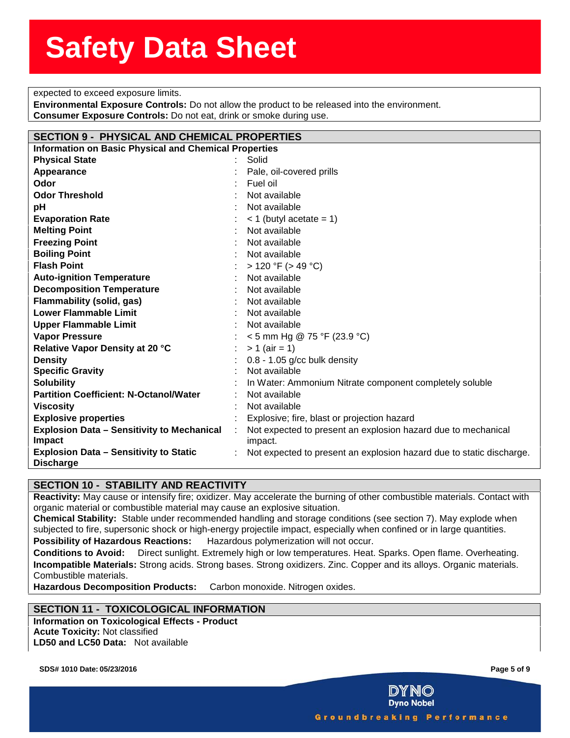**sected to exceed exposure limits.**<br> **Sected to exceed exposure limits.** expected to exceed exposure limits.

**Environmental Exposure Controls:** Do not allow the product to be rele-<br>**Consumer Exposure Controls:** Do not eat, drink or smoke during use. **Environmental Exposure Controls:** Do not allow the product to be released into the environment.

| <b>SECTION 9 - PHYSICAL AND CHEMICAL PROPERTIES</b>               |                                                                      |
|-------------------------------------------------------------------|----------------------------------------------------------------------|
| <b>Information on Basic Physical and Chemical Properties</b>      |                                                                      |
| <b>Physical State</b>                                             | Solid                                                                |
| Appearance                                                        | Pale, oil-covered prills                                             |
| Odor                                                              | Fuel oil                                                             |
| <b>Odor Threshold</b>                                             | Not available                                                        |
| рH                                                                | Not available                                                        |
| <b>Evaporation Rate</b>                                           | $<$ 1 (butyl acetate = 1)                                            |
| <b>Melting Point</b>                                              | Not available                                                        |
| <b>Freezing Point</b>                                             | Not available                                                        |
| <b>Boiling Point</b>                                              | Not available                                                        |
| <b>Flash Point</b>                                                | $> 120$ °F ( $> 49$ °C)                                              |
| <b>Auto-ignition Temperature</b>                                  | Not available                                                        |
| <b>Decomposition Temperature</b>                                  | Not available                                                        |
| <b>Flammability (solid, gas)</b>                                  | Not available                                                        |
| <b>Lower Flammable Limit</b>                                      | Not available                                                        |
| <b>Upper Flammable Limit</b>                                      | Not available                                                        |
| <b>Vapor Pressure</b>                                             | $<$ 5 mm Hg @ 75 °F (23.9 °C)                                        |
| Relative Vapor Density at 20 °C                                   | $> 1$ (air = 1)                                                      |
| <b>Density</b>                                                    | $0.8 - 1.05$ g/cc bulk density                                       |
| <b>Specific Gravity</b>                                           | Not available                                                        |
| <b>Solubility</b>                                                 | In Water: Ammonium Nitrate component completely soluble              |
| <b>Partition Coefficient: N-Octanol/Water</b>                     | Not available                                                        |
| <b>Viscosity</b>                                                  | Not available                                                        |
| <b>Explosive properties</b>                                       | Explosive; fire, blast or projection hazard                          |
| <b>Explosion Data - Sensitivity to Mechanical</b>                 | Not expected to present an explosion hazard due to mechanical        |
| Impact                                                            | impact.                                                              |
| <b>Explosion Data - Sensitivity to Static</b><br><b>Discharge</b> | Not expected to present an explosion hazard due to static discharge. |

## **SECTION 10 - STABILITY AND REACTIVITY**

**Reactivity:** May cause or intensify fire; oxidizer. May accelerate the burning of other combustible materials. Contact with organic material or combustible material may cause an explosive situation.

**Chemical Stability:** Stable under recommended handling and storage conditions (see section 7). May explode when subjected to fire, supersonic shock or high-energy projectile impact, especially when confined or in large quantities.

**Possibility of Hazardous Reactions:** Hazardous polymerization will not occur.

**Conditions to Avoid:** Direct sunlight. Extremely high or low temperatures. Heat. Sparks. Open flame. Overheating. **Incompatible Materials:** Strong acids. Strong bases. Strong oxidizers. Zinc. Copper and its alloys. Organic materials. Combustible materials.

**Hazardous Decomposition Products:** Carbon monoxide. Nitrogen oxides.

## **SECTION 11 - TOXICOLOGICAL INFORMATION**

**Information on Toxicological Effects - Product Acute Toxicity:** Not classified **LD50 and LC50 Data:** Not available

**SDS# 1010 Date: 05/23/2016 Page 5 of 9**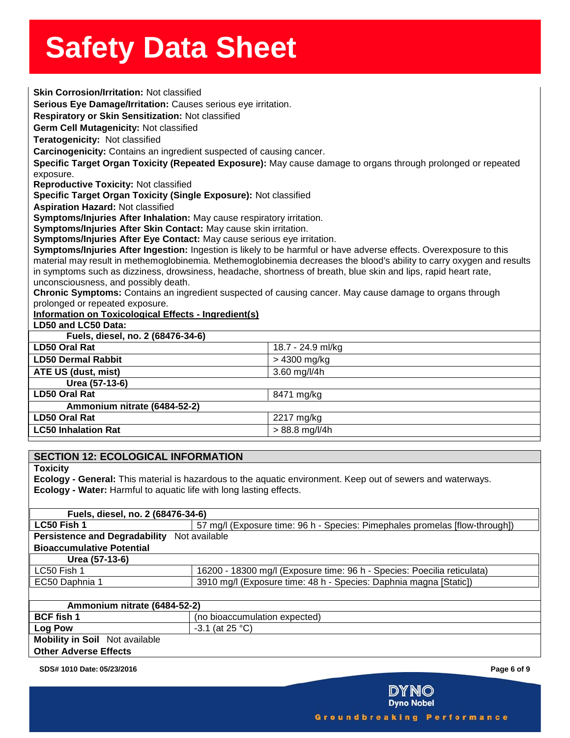| <b>Skin Corrosion/Irritation: Not classified</b>                                                                      |
|-----------------------------------------------------------------------------------------------------------------------|
| Serious Eye Damage/Irritation: Causes serious eye irritation.                                                         |
| Respiratory or Skin Sensitization: Not classified                                                                     |
| Germ Cell Mutagenicity: Not classified                                                                                |
| Teratogenicity: Not classified                                                                                        |
| Carcinogenicity: Contains an ingredient suspected of causing cancer.                                                  |
| Specific Target Organ Toxicity (Repeated Exposure): May cause damage to organs through prolonged or repeated          |
| exposure.                                                                                                             |
| <b>Reproductive Toxicity: Not classified</b>                                                                          |
| Specific Target Organ Toxicity (Single Exposure): Not classified                                                      |
| <b>Aspiration Hazard: Not classified</b>                                                                              |
| Symptoms/Injuries After Inhalation: May cause respiratory irritation.                                                 |
| Symptoms/Injuries After Skin Contact: May cause skin irritation.                                                      |
| Symptoms/Injuries After Eye Contact: May cause serious eye irritation.                                                |
| Symptoms/Injuries After Ingestion: Ingestion is likely to be harmful or have adverse effects. Overexposure to this    |
| material may result in methemoglobinemia. Methemoglobinemia decreases the blood's ability to carry oxygen and results |
| in symptoms such as dizziness, drowsiness, headache, shortness of breath, blue skin and lips, rapid heart rate,       |
| unconsciousness, and possibly death.                                                                                  |
| Chronic Symptoms: Contains an ingredient suspected of causing cancer. May cause damage to organs through              |
| prolonged or repeated exposure.                                                                                       |
| <b>Information on Toxicological Effects - Ingredient(s)</b>                                                           |
| LD50 and LC50 Data:                                                                                                   |
| Fuels, diesel, no. 2 (68476-34-6)                                                                                     |
| <b>LD50 Oral Rat</b><br>18.7 - 24.9 ml/kg                                                                             |
| <b>LD50 Dermal Rabbit</b><br>> 4300 mg/kg                                                                             |
| 3.60 mg/l/4h<br>ATE US (dust, mist)                                                                                   |
| Urea (57-13-6)                                                                                                        |
| <b>LD50 Oral Rat</b><br>8471 mg/kg                                                                                    |
| Ammonium nitrate (6484-52-2)                                                                                          |
| <b>LD50 Oral Rat</b><br>2217 mg/kg                                                                                    |
| <b>LC50 Inhalation Rat</b><br>$> 88.8$ mg/l/4h                                                                        |
|                                                                                                                       |
| <b>SECTION 12: ECOLOGICAL INFORMATION</b>                                                                             |

**Toxicity**

**Ecology - General:** This material is hazardous to the aquatic environment. Keep out of sewers and waterways. **Ecology - Water:** Harmful to aquatic life with long lasting effects.

| Fuels, diesel, no. 2 (68476-34-6)           |                                                                             |  |  |
|---------------------------------------------|-----------------------------------------------------------------------------|--|--|
| LC50 Fish 1                                 | 57 mg/l (Exposure time: 96 h - Species: Pimephales promelas [flow-through]) |  |  |
| Persistence and Degradability Not available |                                                                             |  |  |
| <b>Bioaccumulative Potential</b>            |                                                                             |  |  |
| Urea (57-13-6)                              |                                                                             |  |  |
| LC50 Fish 1                                 | 16200 - 18300 mg/l (Exposure time: 96 h - Species: Poecilia reticulata)     |  |  |
| EC50 Daphnia 1                              | 3910 mg/l (Exposure time: 48 h - Species: Daphnia magna [Static])           |  |  |
|                                             |                                                                             |  |  |
| Ammonium nitrate (6484-52-2)                |                                                                             |  |  |
| <b>BCF</b> fish 1                           | (no bioaccumulation expected)                                               |  |  |
| Log Pow                                     | $-3.1$ (at 25 °C)                                                           |  |  |
| <b>Mobility in Soil</b> Not available       |                                                                             |  |  |
| <b>Other Adverse Effects</b>                |                                                                             |  |  |
|                                             |                                                                             |  |  |

**SDS# 1010 Date: 05/23/2016 Page 6 of 9**

**DYNO**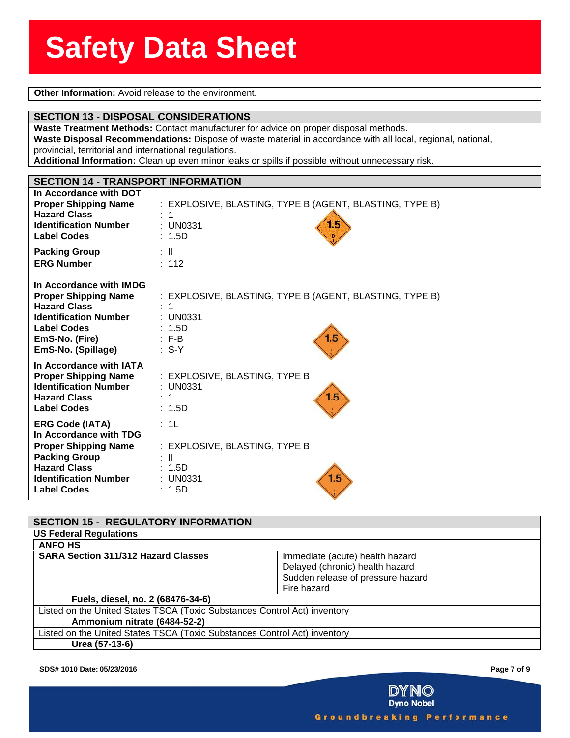**Solution Information:** Avoid release to the environment.

### **SECTION 13 - DISPOSAL CONSIDERATIONS**

**SECTION 13 - DISPOSAL CONSIDERATIONS**<br>Waste Treatment Methods: Contact manufacturer for advice on proper disposal methods. **Waste Disposal Recommendations:** Dispose of waste material in accordance with all local, regional, national, provincial, territorial and international regulations.

**Additional Information:** Clean up even minor leaks or spills if possible without unnecessary risk.

## **SECTION 14 - TRANSPORT INFORMATION**

| In Accordance with DOT       | : EXPLOSIVE, BLASTING, TYPE B (AGENT, BLASTING, TYPE B) |
|------------------------------|---------------------------------------------------------|
| <b>Proper Shipping Name</b>  | : 1                                                     |
| <b>Hazard Class</b>          | 1.5                                                     |
| <b>Identification Number</b> | $:$ UN0331                                              |
| <b>Label Codes</b>           | : 1.5D                                                  |
| <b>Packing Group</b>         | : IL                                                    |
| <b>ERG Number</b>            | : 112                                                   |
| In Accordance with IMDG      | : EXPLOSIVE, BLASTING, TYPE B (AGENT, BLASTING, TYPE B) |
| <b>Proper Shipping Name</b>  | 1                                                       |
| <b>Hazard Class</b>          | $:$ UN0331                                              |
| <b>Identification Number</b> | : 1.5D                                                  |
| <b>Label Codes</b>           | 1.5                                                     |
| EmS-No. (Fire)               | $: F-B$                                                 |
| EmS-No. (Spillage)           | $\therefore$ S-Y                                        |
| In Accordance with IATA      | : EXPLOSIVE, BLASTING, TYPE B                           |
| <b>Proper Shipping Name</b>  | : UN0331                                                |
| <b>Identification Number</b> | 1.5                                                     |
| <b>Hazard Class</b>          | : 1                                                     |
| <b>Label Codes</b>           | : 1.5D                                                  |
| <b>ERG Code (IATA)</b>       | : 1L                                                    |
| In Accordance with TDG       | : EXPLOSIVE, BLASTING, TYPE B                           |
| <b>Proper Shipping Name</b>  | : II                                                    |
| <b>Packing Group</b>         | : 1.5D                                                  |
| <b>Hazard Class</b>          | 1.5                                                     |
| <b>Identification Number</b> | $:$ UN0331                                              |
| <b>Label Codes</b>           | : 1.5D                                                  |

| <b>SECTION 15 - REGULATORY INFORMATION</b>                                |                                   |
|---------------------------------------------------------------------------|-----------------------------------|
| <b>US Federal Regulations</b>                                             |                                   |
| <b>ANFO HS</b>                                                            |                                   |
| <b>SARA Section 311/312 Hazard Classes</b>                                | Immediate (acute) health hazard   |
|                                                                           | Delayed (chronic) health hazard   |
|                                                                           | Sudden release of pressure hazard |
|                                                                           | Fire hazard                       |
| Fuels, diesel, no. 2 (68476-34-6)                                         |                                   |
| Listed on the United States TSCA (Toxic Substances Control Act) inventory |                                   |
| Ammonium nitrate (6484-52-2)                                              |                                   |
| Listed on the United States TSCA (Toxic Substances Control Act) inventory |                                   |
| Urea (57-13-6)                                                            |                                   |

**SDS# 1010 Date: 05/23/2016 Page 7 of 9**

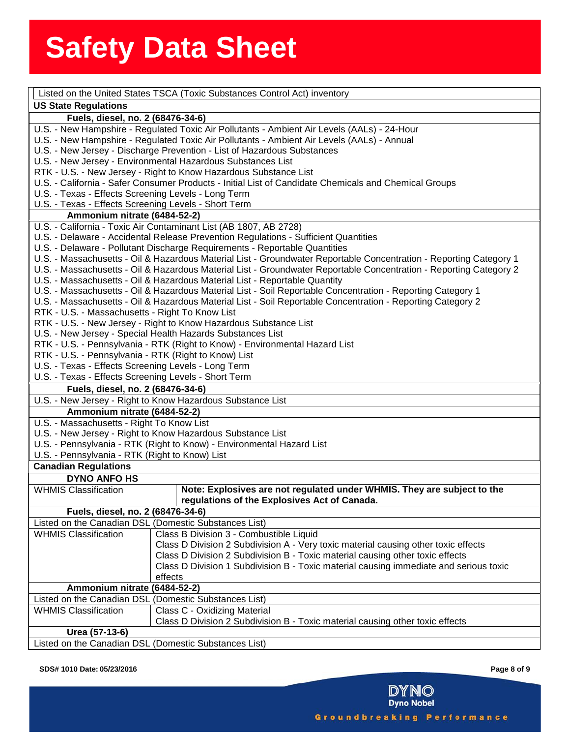|                                                      | Listed on the United States TSCA (Toxic Substances Control Act) inventory                                          |
|------------------------------------------------------|--------------------------------------------------------------------------------------------------------------------|
| <b>US State Regulations</b>                          |                                                                                                                    |
| Fuels, diesel, no. 2 (68476-34-6)                    |                                                                                                                    |
|                                                      | U.S. - New Hampshire - Regulated Toxic Air Pollutants - Ambient Air Levels (AALs) - 24-Hour                        |
|                                                      | U.S. - New Hampshire - Regulated Toxic Air Pollutants - Ambient Air Levels (AALs) - Annual                         |
|                                                      | U.S. - New Jersey - Discharge Prevention - List of Hazardous Substances                                            |
|                                                      | U.S. - New Jersey - Environmental Hazardous Substances List                                                        |
|                                                      | RTK - U.S. - New Jersey - Right to Know Hazardous Substance List                                                   |
|                                                      | U.S. - California - Safer Consumer Products - Initial List of Candidate Chemicals and Chemical Groups              |
| U.S. - Texas - Effects Screening Levels - Long Term  |                                                                                                                    |
| U.S. - Texas - Effects Screening Levels - Short Term |                                                                                                                    |
| Ammonium nitrate (6484-52-2)                         |                                                                                                                    |
|                                                      | U.S. - California - Toxic Air Contaminant List (AB 1807, AB 2728)                                                  |
|                                                      | U.S. - Delaware - Accidental Release Prevention Regulations - Sufficient Quantities                                |
|                                                      | U.S. - Delaware - Pollutant Discharge Requirements - Reportable Quantities                                         |
|                                                      | U.S. - Massachusetts - Oil & Hazardous Material List - Groundwater Reportable Concentration - Reporting Category 1 |
|                                                      | U.S. - Massachusetts - Oil & Hazardous Material List - Groundwater Reportable Concentration - Reporting Category 2 |
|                                                      | U.S. - Massachusetts - Oil & Hazardous Material List - Reportable Quantity                                         |
|                                                      | U.S. - Massachusetts - Oil & Hazardous Material List - Soil Reportable Concentration - Reporting Category 1        |
|                                                      | U.S. - Massachusetts - Oil & Hazardous Material List - Soil Reportable Concentration - Reporting Category 2        |
| RTK - U.S. - Massachusetts - Right To Know List      |                                                                                                                    |
|                                                      | RTK - U.S. - New Jersey - Right to Know Hazardous Substance List                                                   |
|                                                      | U.S. - New Jersey - Special Health Hazards Substances List                                                         |
|                                                      | RTK - U.S. - Pennsylvania - RTK (Right to Know) - Environmental Hazard List                                        |
| RTK - U.S. - Pennsylvania - RTK (Right to Know) List |                                                                                                                    |
| U.S. - Texas - Effects Screening Levels - Long Term  |                                                                                                                    |
| U.S. - Texas - Effects Screening Levels - Short Term |                                                                                                                    |
| Fuels, diesel, no. 2 (68476-34-6)                    |                                                                                                                    |
|                                                      | U.S. - New Jersey - Right to Know Hazardous Substance List                                                         |
| Ammonium nitrate (6484-52-2)                         |                                                                                                                    |
| U.S. - Massachusetts - Right To Know List            |                                                                                                                    |
|                                                      | U.S. - New Jersey - Right to Know Hazardous Substance List                                                         |
|                                                      | U.S. - Pennsylvania - RTK (Right to Know) - Environmental Hazard List                                              |
| U.S. - Pennsylvania - RTK (Right to Know) List       |                                                                                                                    |
| <b>Canadian Regulations</b>                          |                                                                                                                    |
| <b>DYNO ANFO HS</b>                                  |                                                                                                                    |
| <b>WHMIS Classification</b>                          | Note: Explosives are not regulated under WHMIS. They are subject to the                                            |
|                                                      | regulations of the Explosives Act of Canada.                                                                       |
| Fuels, diesel, no. 2 (68476-34-6)                    |                                                                                                                    |
|                                                      | Listed on the Canadian DSL (Domestic Substances List)                                                              |
| <b>WHMIS Classification</b>                          | Class B Division 3 - Combustible Liquid                                                                            |
|                                                      | Class D Division 2 Subdivision A - Very toxic material causing other toxic effects                                 |
|                                                      | Class D Division 2 Subdivision B - Toxic material causing other toxic effects                                      |
|                                                      | Class D Division 1 Subdivision B - Toxic material causing immediate and serious toxic                              |
|                                                      | effects                                                                                                            |
| Ammonium nitrate (6484-52-2)                         |                                                                                                                    |
|                                                      | Listed on the Canadian DSL (Domestic Substances List)                                                              |
| <b>WHMIS Classification</b>                          | Class C - Oxidizing Material                                                                                       |
|                                                      | Class D Division 2 Subdivision B - Toxic material causing other toxic effects                                      |
| Urea (57-13-6)                                       |                                                                                                                    |
|                                                      | Listed on the Canadian DSL (Domestic Substances List)                                                              |

#### **SDS# 1010 Date: 05/23/2016 Page 8 of 9**



Groundbreaking Performance